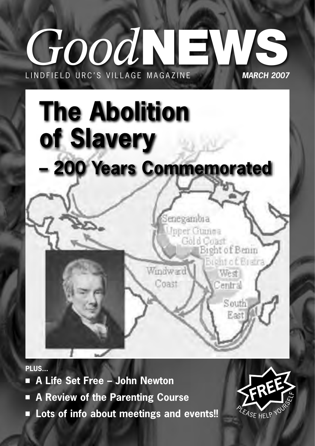# **GOOD NEWS WILLAGE MAGAZINE MARCH 2007** L IN DEI FLD URC'S VILLAGE MAGAZINE



**PLUS...**

- **A Life Set Free John Newton**
- **A Review of the Parenting Course** П
- Lots of info about meetings and events!!

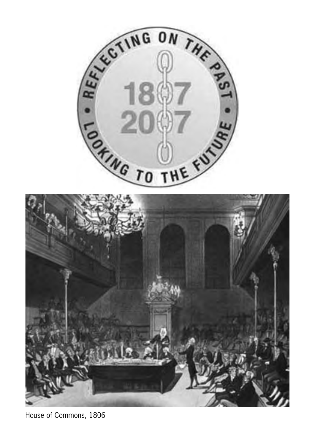

House of Commons, 1806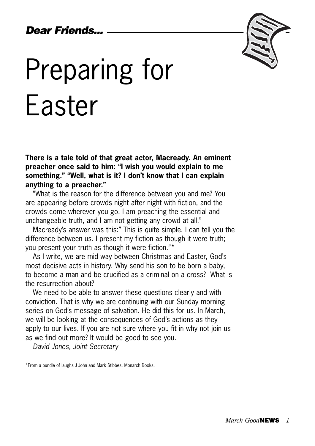## *Dear Friends...*



# Preparing for Easter

**There is a tale told of that great actor, Macready. An eminent preacher once said to him: "I wish you would explain to me something." "Well, what is it? I don't know that I can explain anything to a preacher."** 

"What is the reason for the difference between you and me? You are appearing before crowds night after night with fiction, and the crowds come wherever you go. I am preaching the essential and unchangeable truth, and I am not getting any crowd at all."

Macready's answer was this:" This is quite simple. I can tell you the difference between us. I present my fiction as though it were truth; you present your truth as though it were fiction."\*

As I write, we are mid way between Christmas and Easter, God's most decisive acts in history. Why send his son to be born a baby, to become a man and be crucified as a criminal on a cross? What is the resurrection about?

We need to be able to answer these questions clearly and with conviction. That is why we are continuing with our Sunday morning series on God's message of salvation. He did this for us. In March, we will be looking at the consequences of God's actions as they apply to our lives. If you are not sure where you fit in why not join us as we find out more? It would be good to see you.

*David Jones, Joint Secretary*

\*From a bundle of laughs J John and Mark Stibbes, Monarch Books.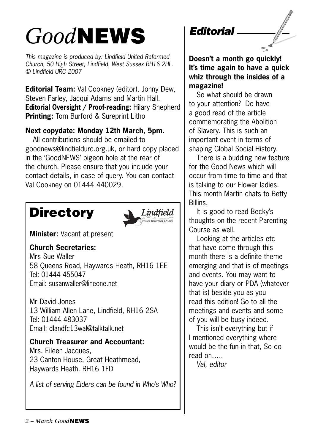# *Good***NEWS**

*This magazine is produced by: Lindfield United Reformed Church, 50 High Street, Lindfield, West Sussex RH16 2HL. © Lindfield URC 2007*

**Editorial Team:** Val Cookney (editor), Jonny Dew, Steven Farley, Jacqui Adams and Martin Hall. **Editorial Oversight / Proof-reading:** Hilary Shepherd **Printing:** Tom Burford & Sureprint Litho

## **Next copydate: Monday 12th March, 5pm.**

All contributions should be emailed to goodnews@lindfieldurc.org.uk, or hard copy placed in the 'GoodNEWS' pigeon hole at the rear of the church. Please ensure that you include your contact details, in case of query. You can contact Val Cookney on 01444 440029.

# **Directory**



**Minister:** Vacant at present

**Church Secretaries:**

Mrs Sue Waller 58 Queens Road, Haywards Heath, RH16 1EE Tel: 01444 455047 Email: susanwaller@lineone.net

Mr David Jones 13 William Allen Lane, Lindfield, RH16 2SA Tel: 01444 483037 Email: dlandfc13wal@talktalk.net

## **Church Treasurer and Accountant:**

Mrs. Eileen Jacques, 23 Canton House, Great Heathmead, Haywards Heath. RH16 1FD

*A list of serving Elders can be found in Who's Who?*

## *Editorial*

**Doesn't a month go quickly! It's time again to have a quick whiz through the insides of a magazine!**

So what should be drawn to your attention? Do have a good read of the article commemorating the Abolition of Slavery. This is such an important event in terms of shaping Global Social History.

There is a budding new feature for the Good News which will occur from time to time and that is talking to our Flower ladies. This month Martin chats to Betty Billins.

It is good to read Becky's thoughts on the recent Parenting Course as well.

Looking at the articles etc that have come through this month there is a definite theme emerging and that is of meetings and events. You may want to have your diary or PDA (whatever that is) beside you as you read this edition! Go to all the meetings and events and some of you will be busy indeed.

This isn't everything but if I mentioned everything where would be the fun in that, So do read on…..

*Val, editor*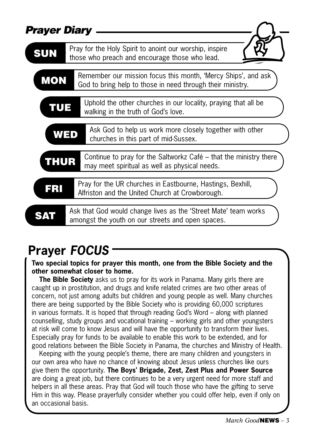| <b>Prayer Diary</b> |                                                                                                                             |  |  |  |
|---------------------|-----------------------------------------------------------------------------------------------------------------------------|--|--|--|
| <b>SUN</b>          | Pray for the Holy Spirit to anoint our worship, inspire                                                                     |  |  |  |
|                     | those who preach and encourage those who lead.                                                                              |  |  |  |
| <b>MON</b>          | Remember our mission focus this month, 'Mercy Ships', and ask<br>God to bring help to those in need through their ministry. |  |  |  |
| TUE                 | Uphold the other churches in our locality, praying that all be<br>walking in the truth of God's love.                       |  |  |  |
|                     | Ask God to help us work more closely together with other<br>WED<br>churches in this part of mid-Sussex.                     |  |  |  |
| <b>THUR</b>         | Continue to pray for the Saltworkz Café - that the ministry there<br>may meet spiritual as well as physical needs.          |  |  |  |
| FRI                 | Pray for the UR churches in Eastbourne, Hastings, Bexhill,<br>Alfriston and the United Church at Crowborough.               |  |  |  |
|                     | Ask that God would change lives as the 'Street Mate' team works<br>amongst the youth on our streets and open spaces.        |  |  |  |

# **Prayer** *FOCUS*

**Two special topics for prayer this month, one from the Bible Society and the other somewhat closer to home.**

**The Bible Society** asks us to pray for its work in Panama. Many girls there are caught up in prostitution, and drugs and knife related crimes are two other areas of concern, not just among adults but children and young people as well. Many churches there are being supported by the Bible Society who is providing 60,000 scriptures in various formats. It is hoped that through reading God's Word – along with planned counselling, study groups and vocational training – working girls and other youngsters at risk will come to know Jesus and will have the opportunity to transform their lives. Especially pray for funds to be available to enable this work to be extended, and for good relations between the Bible Society in Panama, the churches and Ministry of Health.

Keeping with the young people's theme, there are many children and youngsters in our own area who have no chance of knowing about Jesus unless churches like ours give them the opportunity. **The Boys' Brigade, Zest, Zest Plus and Power Source** are doing a great job, but there continues to be a very urgent need for more staff and helpers in all these areas. Pray that God will touch those who have the gifting to serve Him in this way. Please prayerfully consider whether you could offer help, even if only on an occasional basis.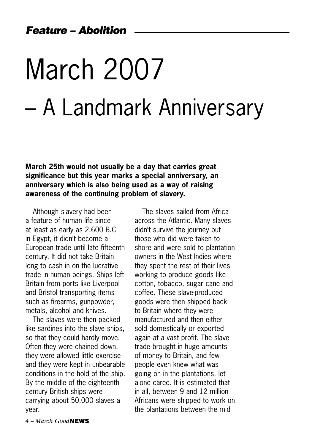# March 2007 – A Landmark Anniversary

**March 25th would not usually be a day that carries great significance but this year marks a special anniversary, an anniversary which is also being used as a way of raising awareness of the continuing problem of slavery.**

Although slavery had been a feature of human life since at least as early as 2,600 B.C in Egypt, it didn't become a European trade until late fifteenth century. It did not take Britain long to cash in on the lucrative trade in human beings. Ships left Britain from ports like Liverpool and Bristol transporting items such as firearms, gunpowder, metals, alcohol and knives.

The slaves were then packed like sardines into the slave ships, so that they could hardly move. Often they were chained down, they were allowed little exercise and they were kept in unbearable conditions in the hold of the ship. By the middle of the eighteenth century British ships were carrying about 50,000 slaves a year.

The slaves sailed from Africa across the Atlantic. Many slaves didn't survive the journey but those who did were taken to shore and were sold to plantation owners in the West Indies where they spent the rest of their lives working to produce goods like cotton, tobacco, sugar cane and coffee. These slave-produced goods were then shipped back to Britain where they were manufactured and then either sold domestically or exported again at a vast profit. The slave trade brought in huge amounts of money to Britain, and few people even knew what was going on in the plantations, let alone cared. It is estimated that in all, between 9 and 12 million Africans were shipped to work on the plantations between the mid

*4 – March Good***NEWS**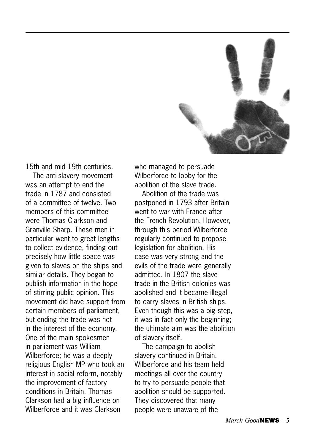

15th and mid 19th centuries.

The anti-slavery movement was an attempt to end the trade in 1787 and consisted of a committee of twelve. Two members of this committee were Thomas Clarkson and Granville Sharp. These men in particular went to great lengths to collect evidence, finding out precisely how little space was given to slaves on the ships and similar details. They began to publish information in the hope of stirring public opinion. This movement did have support from certain members of parliament, but ending the trade was not in the interest of the economy. One of the main spokesmen in parliament was William Wilberforce; he was a deeply religious English MP who took an interest in social reform, notably the improvement of factory conditions in Britain. Thomas Clarkson had a big influence on Wilberforce and it was Clarkson

who managed to persuade Wilberforce to lobby for the abolition of the slave trade.

Abolition of the trade was postponed in 1793 after Britain went to war with France after the French Revolution. However, through this period Wilberforce regularly continued to propose legislation for abolition. His case was very strong and the evils of the trade were generally admitted. In 1807 the slave trade in the British colonies was abolished and it became illegal to carry slaves in British ships. Even though this was a big step, it was in fact only the beginning; the ultimate aim was the abolition of slavery itself.

The campaign to abolish slavery continued in Britain. Wilberforce and his team held meetings all over the country to try to persuade people that abolition should be supported. They discovered that many people were unaware of the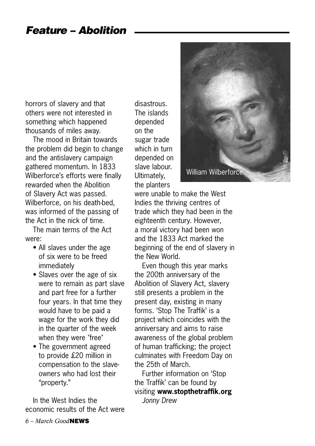horrors of slavery and that others were not interested in something which happened thousands of miles away.

The mood in Britain towards the problem did begin to change and the antislavery campaign gathered momentum. In 1833 Wilberforce's efforts were finally rewarded when the Abolition of Slavery Act was passed. Wilberforce, on his death-bed, was informed of the passing of the Act in the nick of time.

The main terms of the Act were:

- All slaves under the age of six were to be freed immediately
- Slaves over the age of six were to remain as part slave and part free for a further four years. In that time they would have to be paid a wage for the work they did in the quarter of the week when they were "free"
- The government agreed to provide £20 million in compensation to the slaveowners who had lost their "property."

In the West Indies the economic results of the Act were disastrous. The islands depended on the sugar trade which in turn depended on slave labour. Ultimately, the planters

were unable to make the West Indies the thriving centres of trade which they had been in the eighteenth century. However, a moral victory had been won and the 1833 Act marked the beginning of the end of slavery in the New World.

Even though this year marks the 200th anniversary of the Abolition of Slavery Act, slavery still presents a problem in the present day, existing in many forms. 'Stop The Traffik' is a project which coincides with the anniversary and aims to raise awareness of the global problem of human trafficking; the project culminates with Freedom Day on the 25th of March.

Further information on 'Stop the Traffik' can be found by visiting **www.stopthetraffik.org** *Jonny Drew*



*6 – March Good***NEWS**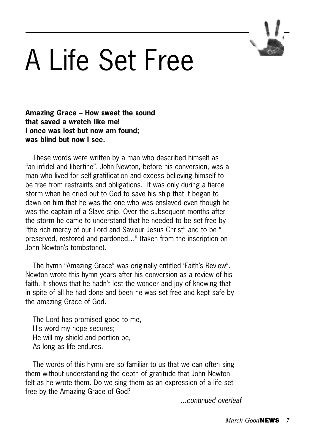

# A Life Set Free

### **Amazing Grace – How sweet the sound that saved a wretch like me! I once was lost but now am found; was blind but now I see.**

These words were written by a man who described himself as "an infidel and libertine". John Newton, before his conversion, was a man who lived for self-gratification and excess believing himself to be free from restraints and obligations. It was only during a fierce storm when he cried out to God to save his ship that it began to dawn on him that he was the one who was enslaved even though he was the captain of a Slave ship. Over the subsequent months after the storm he came to understand that he needed to be set free by "the rich mercy of our Lord and Saviour Jesus Christ" and to be " preserved, restored and pardoned…" (taken from the inscription on John Newton's tombstone).

The hymn "Amazing Grace" was originally entitled 'Faith's Review". Newton wrote this hymn years after his conversion as a review of his faith. It shows that he hadn't lost the wonder and joy of knowing that in spite of all he had done and been he was set free and kept safe by the amazing Grace of God.

The Lord has promised good to me, His word my hope secures; He will my shield and portion be, As long as life endures.

The words of this hymn are so familiar to us that we can often sing them without understanding the depth of gratitude that John Newton felt as he wrote them. Do we sing them as an expression of a life set free by the Amazing Grace of God?

*...continued overleaf*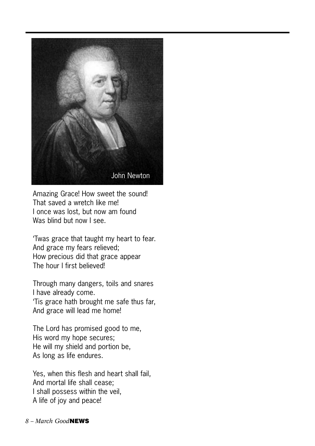

Amazing Grace! How sweet the sound! That saved a wretch like me! I once was lost, but now am found Was blind but now I see.

'Twas grace that taught my heart to fear. And grace my fears relieved; How precious did that grace appear The hour I first believed!

Through many dangers, toils and snares I have already come. 'Tis grace hath brought me safe thus far, And grace will lead me home!

The Lord has promised good to me, His word my hope secures; He will my shield and portion be, As long as life endures.

Yes, when this flesh and heart shall fail, And mortal life shall cease; I shall possess within the veil, A life of joy and peace!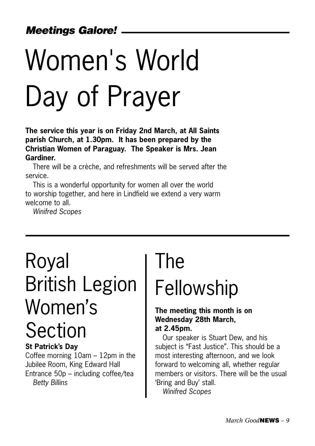# Women's World Day of Prayer

**The service this year is on Friday 2nd March, at All Saints parish Church, at 1.30pm. It has been prepared by the Christian Women of Paraguay. The Speaker is Mrs. Jean Gardiner.**

There will be a crèche, and refreshments will be served after the service.

This is a wonderful opportunity for women all over the world to worship together, and here in Lindfield we extend a very warm welcome to all

*Winifred Scopes*

# Royal British Legion Women's Section

### **St Patrick's Day**

Coffee morning 10am – 12pm in the Jubilee Room, King Edward Hall Entrance 50p – including coffee/tea *Betty Billins*

# **The**

# Fellowship

### **The meeting this month is on Wednesday 28th March, at 2.45pm.**

Our speaker is Stuart Dew, and his subject is "Fast Justice". This should be a most interesting afternoon, and we look forward to welcoming all, whether regular members or visitors. There will be the usual 'Bring and Buy' stall. *Winifred Scopes*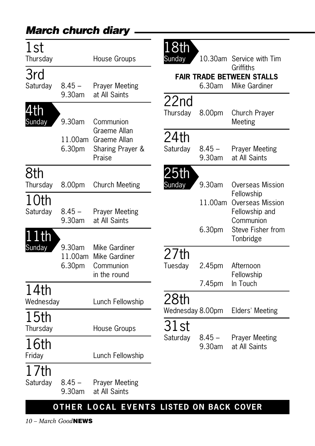| 1st<br>Thursday   |                             | House Groups                                                            | <b>8th</b><br>Sunday                                                     |                    | 10.30am Service with Tim<br>Griffiths                         |
|-------------------|-----------------------------|-------------------------------------------------------------------------|--------------------------------------------------------------------------|--------------------|---------------------------------------------------------------|
| 3rd<br>Saturday   | $8.45 -$<br>9.30am          | <b>Prayer Meeting</b><br>at All Saints                                  |                                                                          | 6.30am             | <b>FAIR TRADE BETWEEN STALLS</b><br>Mike Gardiner             |
| 4th<br>Sunday     | 9.30am                      | Communion<br>Graeme Allan<br>Graeme Allan<br>Sharing Prayer &<br>Praise | 22nd<br>Thursday                                                         | 8.00pm             | Church Prayer<br>Meeting                                      |
|                   | 11.00am<br>6.30pm           |                                                                         | 24th<br>Saturday                                                         | $8.45 -$<br>9.30am | <b>Prayer Meeting</b><br>at All Saints                        |
| 8th<br>Thursday   | 8.00pm                      | <b>Church Meeting</b>                                                   | 25th<br>Sunday                                                           | 9.30am             | Overseas Mission                                              |
| 10th<br>Saturday  | $8.45 -$<br>9.30am          | <b>Prayer Meeting</b><br>at All Saints                                  |                                                                          | 11.00am            | Fellowship<br>Overseas Mission<br>Fellowship and<br>Communion |
| $1$ th<br>Sunday  | 9.30am<br>11.00am<br>6.30pm | Mike Gardiner<br>Mike Gardiner<br>Communion<br>in the round             | 27th<br>Tuesday                                                          | 6.30pm<br>2.45pm   | Steve Fisher from<br>Tonbridge<br>Afternoon<br>Fellowship     |
| 14th<br>Wednesday |                             | Lunch Fellowship                                                        | 28th                                                                     | 7.45pm             | In Touch                                                      |
| 15th<br>Thursday  |                             | House Groups                                                            | Wednesday 8.00pm<br>31st                                                 |                    | Elders' Meeting                                               |
| 16th<br>Friday    |                             | Lunch Fellowship                                                        | Saturday<br>$8.45 -$<br><b>Prayer Meeting</b><br>9.30am<br>at All Saints |                    |                                                               |
| 1 /th<br>Saturday | $8.45 -$<br>9.30am          | <b>Prayer Meeting</b><br>at All Saints                                  |                                                                          |                    |                                                               |
|                   |                             | OTHER LOCAL EVENTS LISTED ON BACK COVER                                 |                                                                          |                    |                                                               |

*10 – March Good***NEWS**

*March church diary*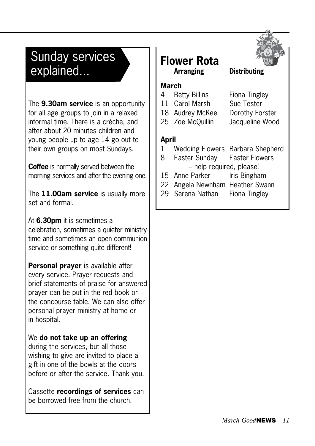# Sunday services explained...

The **9.30am service** is an opportunity for all age groups to join in a relaxed informal time. There is a crèche, and after about 20 minutes children and young people up to age 14 go out to their own groups on most Sundays.

**Coffee** is normally served between the morning services and after the evening one.

The **11.00am service** is usually more set and formal.

### At **6.30pm** it is sometimes a

celebration, sometimes a quieter ministry time and sometimes an open communion service or something quite different!

**Personal prayer** is available after every service. Prayer requests and brief statements of praise for answered prayer can be put in the red book on the concourse table. We can also offer personal prayer ministry at home or in hospital.

### We **do not take up an offering**

during the services, but all those wishing to give are invited to place a gift in one of the bowls at the doors before or after the service. Thank you.

Cassette **recordings of services** can be borrowed free from the church.



# **Flower Rota**

# **Distributing**

- **March** 4 Betty Billins Fiona Tingley
	-
- 11 Carol Marsh Sue Tester
	- -
	-

- 18 Audrey McKee Dorothy Forster
- 25 Zoe McQuillin Jacqueline Wood

#### **April**

- 1 Wedding Flowers Barbara Shepherd
- 8 Easter Sunday Easter Flowers – help required, please!
- 15 Anne Parker Iris Bingham
- 22 Angela Newnham Heather Swann
- 29 Serena Nathan Fiona Tingley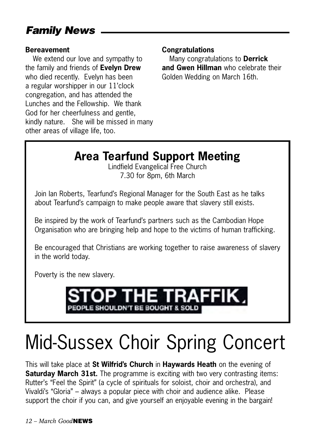## *Family News*

#### **Bereavement**

We extend our love and sympathy to the family and friends of **Evelyn Drew** who died recently. Evelyn has been a regular worshipper in our 11'clock congregation, and has attended the Lunches and the Fellowship. We thank God for her cheerfulness and gentle, kindly nature. She will be missed in many other areas of village life, too.

### **Congratulations**

Many congratulations to **Derrick and Gwen Hillman** who celebrate their Golden Wedding on March 16th.

# **Area Tearfund Support Meeting**

Lindfield Evangelical Free Church 7.30 for 8pm, 6th March

Join Ian Roberts, Tearfund's Regional Manager for the South East as he talks about Tearfund's campaign to make people aware that slavery still exists.

Be inspired by the work of Tearfund's partners such as the Cambodian Hope Organisation who are bringing help and hope to the victims of human trafficking.

Be encouraged that Christians are working together to raise awareness of slavery in the world today.

Poverty is the new slavery.



# Mid-Sussex Choir Spring Concert

This will take place at **St Wilfrid's Church** in **Haywards Heath** on the evening of **Saturday March 31st.** The programme is exciting with two very contrasting items: Rutter's "Feel the Spirit" (a cycle of spirituals for soloist, choir and orchestra), and Vivaldi's "Gloria" – always a popular piece with choir and audience alike. Please support the choir if you can, and give yourself an enjoyable evening in the bargain!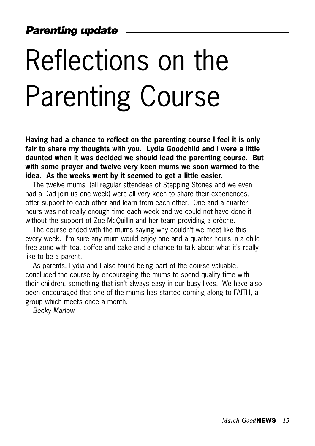# Reflections on the Parenting Course

**Having had a chance to reflect on the parenting course I feel it is only fair to share my thoughts with you. Lydia Goodchild and I were a little daunted when it was decided we should lead the parenting course. But with some prayer and twelve very keen mums we soon warmed to the idea. As the weeks went by it seemed to get a little easier.**

The twelve mums (all regular attendees of Stepping Stones and we even had a Dad join us one week) were all very keen to share their experiences. offer support to each other and learn from each other. One and a quarter hours was not really enough time each week and we could not have done it without the support of Zoe McQuillin and her team providing a crèche.

The course ended with the mums saying why couldn't we meet like this every week. I'm sure any mum would enjoy one and a quarter hours in a child free zone with tea, coffee and cake and a chance to talk about what it's really like to be a parent.

As parents, Lydia and I also found being part of the course valuable. I concluded the course by encouraging the mums to spend quality time with their children, something that isn't always easy in our busy lives. We have also been encouraged that one of the mums has started coming along to FAITH, a group which meets once a month.

*Becky Marlow*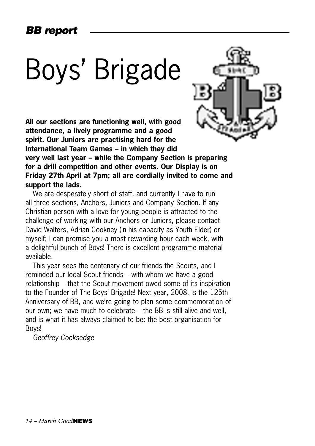## *BB report*

# Boys' Brigade

**All our sections are functioning well, with good attendance, a lively programme and a good spirit. Our Juniors are practising hard for the International Team Games – in which they did very well last year – while the Company Section is preparing for a drill competition and other events. Our Display is on Friday 27th April at 7pm; all are cordially invited to come and support the lads.**

We are desperately short of staff, and currently I have to run all three sections, Anchors, Juniors and Company Section. If any Christian person with a love for young people is attracted to the challenge of working with our Anchors or Juniors, please contact David Walters, Adrian Cookney (in his capacity as Youth Elder) or myself; I can promise you a most rewarding hour each week, with a delightful bunch of Boys! There is excellent programme material available.

This year sees the centenary of our friends the Scouts, and I reminded our local Scout friends – with whom we have a good relationship – that the Scout movement owed some of its inspiration to the Founder of The Boys' Brigade! Next year, 2008, is the 125th Anniversary of BB, and we're going to plan some commemoration of our own; we have much to celebrate – the BB is still alive and well, and is what it has always claimed to be: the best organisation for Boys!

*Geoffrey Cocksedge*

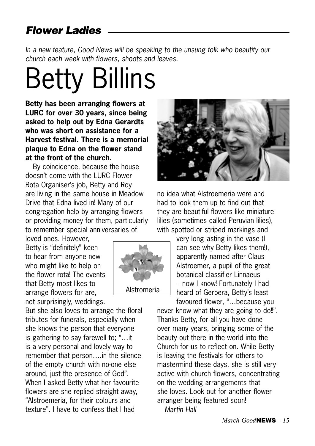## *Flower Ladies*

*In a new feature. Good News will be speaking to the unsung folk who beautify our church each week with flowers, shoots and leaves.* 

# Betty Billins

**Betty has been arranging flowers at LURC for over 30 years, since being asked to help out by Edna Gerardts who was short on assistance for a Harvest festival. There is a memorial plaque to Edna on the flower stand at the front of the church.** 

By coincidence, because the house doesn't come with the LURC Flower Rota Organiser's job, Betty and Roy are living in the same house in Meadow Drive that Edna lived in! Many of our congregation help by arranging flowers or providing money for them, particularly to remember special anniversaries of

loved ones. However, Betty is "definitely" keen to hear from anyone new who might like to help on the flower rota! The events that Betty most likes to arrange flowers for are, not surprisingly, weddings.

But she also loves to arrange the floral tributes for funerals, especially when she knows the person that everyone is gathering to say farewell to; "…it is a very personal and lovely way to remember that person….in the silence of the empty church with no-one else around, just the presence of God". When I asked Betty what her favourite flowers are she replied straight away, "Alstroemeria, for their colours and texture". I have to confess that I had



no idea what Alstroemeria were and had to look them up to find out that they are beautiful flowers like miniature lilies (sometimes called Peruvian lilies), with spotted or striped markings and

> very long-lasting in the vase (I can see why Betty likes them!), apparently named after Claus Alstroemer, a pupil of the great botanical classifier Linnaeus – now I know! Fortunately I had heard of Gerbera, Betty's least favoured flower, "…because you

never know what they are going to do!!". Thanks Betty, for all you have done over many years, bringing some of the beauty out there in the world into the Church for us to reflect on. While Betty is leaving the festivals for others to mastermind these days, she is still very active with church flowers, concentrating on the wedding arrangements that she loves. Look out for another flower arranger being featured soon! *Martin Hall*

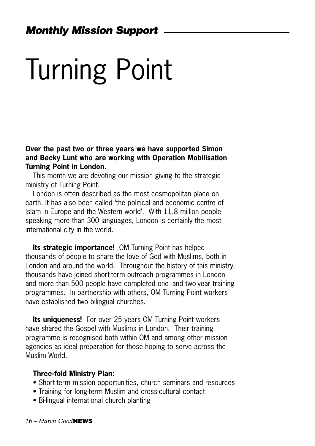# Turning Point

**Over the past two or three years we have supported Simon and Becky Lunt who are working with Operation Mobilisation Turning Point in London.** 

This month we are devoting our mission giving to the strategic ministry of Turning Point.

London is often described as the most cosmopolitan place on earth. It has also been called 'the political and economic centre of Islam in Europe and the Western world'. With 11.8 million people speaking more than 300 languages, London is certainly the most international city in the world.

**Its strategic importance!** OM Turning Point has helped thousands of people to share the love of God with Muslims, both in London and around the world. Throughout the history of this ministry, thousands have joined short-term outreach programmes in London and more than 500 people have completed one- and two-year training programmes. In partnership with others, OM Turning Point workers have established two bilingual churches.

**Its uniqueness!** For over 25 years OM Turning Point workers have shared the Gospel with Muslims in London. Their training programme is recognised both within OM and among other mission agencies as ideal preparation for those hoping to serve across the Muslim World.

#### **Three-fold Ministry Plan:**

- Short-term mission opportunities, church seminars and resources
- Training for long-term Muslim and cross-cultural contact
- Bi-lingual international church planting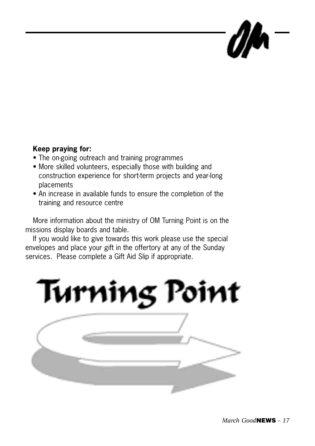### **Keep praying for:**

- The on-going outreach and training programmes
- More skilled volunteers, especially those with building and construction experience for short-term projects and year-long placements
- An increase in available funds to ensure the completion of the training and resource centre

More information about the ministry of OM Turning Point is on the missions display boards and table.

If you would like to give towards this work please use the special envelopes and place your gift in the offertory at any of the Sunday services. Please complete a Gift Aid Slip if appropriate.

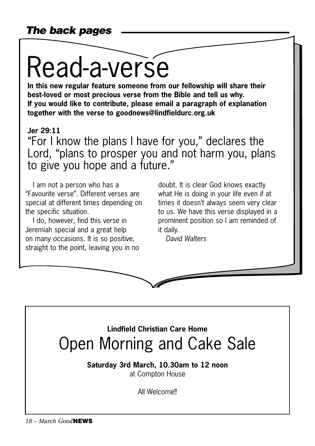# Read-a-verse

**In this new regular feature someone from our fellowship will share their best-loved or most precious verse from the Bible and tell us why. If you would like to contribute, please email a paragraph of explanation together with the verse to goodnews@lindfieldurc.org.uk**

## **Jer 29:11**

"For I know the plans I have for you," declares the Lord, "plans to prosper you and not harm you, plans to give you hope and a future."

I am not a person who has a "Favourite verse". Different verses are special at different times depending on the specific situation.

I do, however, find this verse in Jeremiah special and a great help on many occasions. It is so positive, straight to the point, leaving you in no

doubt. It is clear God knows exactly what He is doing in your life even if at times it doesn't always seem very clear to us. We have this verse displayed in a prominent position so I am reminded of it daily.

*David Walters*



**Saturday 3rd March, 10.30am to 12 noon** at Compton House

All Welcome!!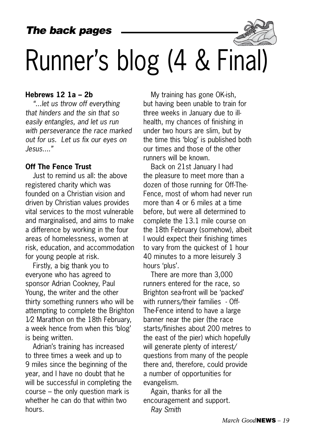## *The back pages*



#### **Hebrews 12 1a – 2b**

*"...let us throw off everything that hinders and the sin that so easily entangles, and let us run with perseverance the race marked out for us. Let us fix our eyes on Jesus...."*

#### **Off The Fence Trust**

Just to remind us all: the above registered charity which was founded on a Christian vision and driven by Christian values provides vital services to the most vulnerable and marginalised, and aims to make a difference by working in the four areas of homelessness, women at risk, education, and accommodation for young people at risk.

Firstly, a big thank you to everyone who has agreed to sponsor Adrian Cookney, Paul Young, the writer and the other thirty something runners who will be attempting to complete the Brighton 1⁄2 Marathon on the 18th February, a week hence from when this 'blog' is being written.

Adrian's training has increased to three times a week and up to 9 miles since the beginning of the year, and I have no doubt that he will be successful in completing the course – the only question mark is whether he can do that within two hours.

My training has gone OK-ish, but having been unable to train for three weeks in January due to illhealth, my chances of finishing in under two hours are slim, but by the time this 'blog' is published both our times and those of the other runners will be known.

Back on 21st January I had the pleasure to meet more than a dozen of those running for Off-The-Fence, most of whom had never run more than 4 or 6 miles at a time before, but were all determined to complete the 13.1 mile course on the 18th February (somehow), albeit I would expect their finishing times to vary from the quickest of 1 hour 40 minutes to a more leisurely 3 hours 'plus'.

There are more than 3,000 runners entered for the race, so Brighton sea-front will be 'packed' with runners/their families - Off-The-Fence intend to have a large banner near the pier (the race starts/finishes about 200 metres to the east of the pier) which hopefully will generate plenty of interest/ questions from many of the people there and, therefore, could provide a number of opportunities for evangelism.

Again, thanks for all the encouragement and support. *Ray Smith*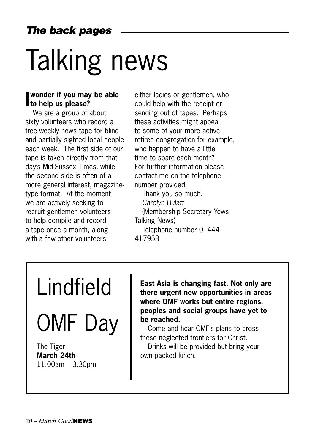# Talking news

## **I wonder if you may be able to help us please?**

We are a group of about sixty volunteers who record a free weekly news tape for blind and partially sighted local people each week. The first side of our tape is taken directly from that day's Mid-Sussex Times, while the second side is often of a more general interest, magazinetype format. At the moment we are actively seeking to recruit gentlemen volunteers to help compile and record a tape once a month, along with a few other volunteers,

either ladies or gentlemen, who could help with the receipt or sending out of tapes. Perhaps these activities might appeal to some of your more active retired congregation for example, who happen to have a little time to spare each month? For further information please contact me on the telephone number provided.

Thank you so much. *Carolyn Hulatt*  (Membership Secretary Yews Talking News) Telephone number 01444 417953

# Lindfield

OMF Day

The Tiger **March 24th** 11.00am – 3.30pm **East Asia is changing fast. Not only are there urgent new opportunities in areas where OMF works but entire regions, peoples and social groups have yet to be reached.**

Come and hear OMF's plans to cross these neglected frontiers for Christ.

Drinks will be provided but bring your own packed lunch.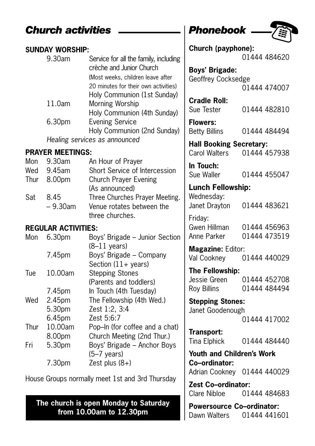## **Church activities**  \_\_\_\_\_\_\_\_\_\_ | Phonebook .

### **SUNDAY WORSHIP:**<br>9.30am Service for all the family, including crèche and Junior Church (Most weeks, children leave after 20 minutes for their own activities) Holy Communion (1st Sunday) 11.0am Morning Worship Holy Communion (4th Sunday)<br>6.30pm Evening Service Evening Service Holy Communion (2nd Sunday) Healing services as announced

### **PRAYER MEETINGS:**

| Mon | 9.30am      | An Hour of Prayer              |
|-----|-------------|--------------------------------|
| Wed | 9.45am      | Short Service of Intercession  |
|     | Thur 8.00pm | <b>Church Prayer Evening</b>   |
|     |             | (As announced)                 |
| Sat | 845         | Three Churches Prayer Meeting. |
|     | $-9.30$ am  | Venue rotates between the      |
|     |             | three churches.                |

### **REGULAR ACTIVITIES:**

| 6.30 <sub>pm</sub> | Boys' Brigade - Junior Section |
|--------------------|--------------------------------|
|                    | $(8-11 \text{ years})$         |
| 7.45pm             | Boys' Brigade - Company        |
|                    | Section $(11 + \text{years})$  |
| 10.00am            | <b>Stepping Stones</b>         |
|                    | (Parents and toddlers)         |
| 7.45pm             | In Touch (4th Tuesday)         |
| 2.45pm             | The Fellowship (4th Wed.)      |
| 5.30pm             | Zest 1:2, 3:4                  |
| 6.45pm             | Zest 5:6:7                     |
| 10.00am            | Pop-In (for coffee and a chat) |
| 8.00pm             | Church Meeting (2nd Thur.)     |
| 5.30pm             | Boys' Brigade - Anchor Boys    |
|                    | $(5-7 \text{ years})$          |
| 7.30pm             | Zest plus $(8+)$               |
|                    |                                |

House Groups normally meet 1st and 3rd Thursday

**The church is open Monday to Saturday from 10.00am to 12.30pm**



| Church (payphone):                                            |                              |
|---------------------------------------------------------------|------------------------------|
|                                                               | 01444 484620                 |
| <b>Boys' Brigade:</b>                                         |                              |
| Geoffrey Cocksedge                                            | 01444 474007                 |
| <b>Cradle Roll:</b><br>Sue Tester                             | 01444 482810                 |
| <b>Flowers:</b><br><b>Betty Billins</b>                       | 01444 484494                 |
| <b>Hall Booking Secretary:</b><br>Carol Walters               | 01444 457938                 |
| In Touch:<br>Sue Waller                                       | 01444 455047                 |
| <b>Lunch Fellowship:</b>                                      |                              |
| Wednesday:<br>Janet Drayton                                   | 01444 483621                 |
| Friday:<br>Gwen Hillman<br>Anne Parker                        | 01444 456963<br>01444 473519 |
| Magazine: Editor:<br>Val Cookney                              | 01444 440029                 |
| The Fellowship:<br>Jessie Green<br><b>Roy Billins</b>         | 01444 452708<br>01444 484494 |
| <b>Stepping Stones:</b>                                       |                              |
| Janet Goodenough                                              | 01444 417002                 |
| Transport:<br>Tina Elphick                                    | 01444 484440                 |
| <b>Youth and Children's Work</b><br>Co-ordinator:             |                              |
| Adrian Cookney 01444 440029                                   |                              |
| Zest Co-ordinator:<br>Clare Nibloe                            | 01444 484683                 |
| <b>Powersource Co-ordinator:</b><br>Dawn Walters 01444 441601 |                              |